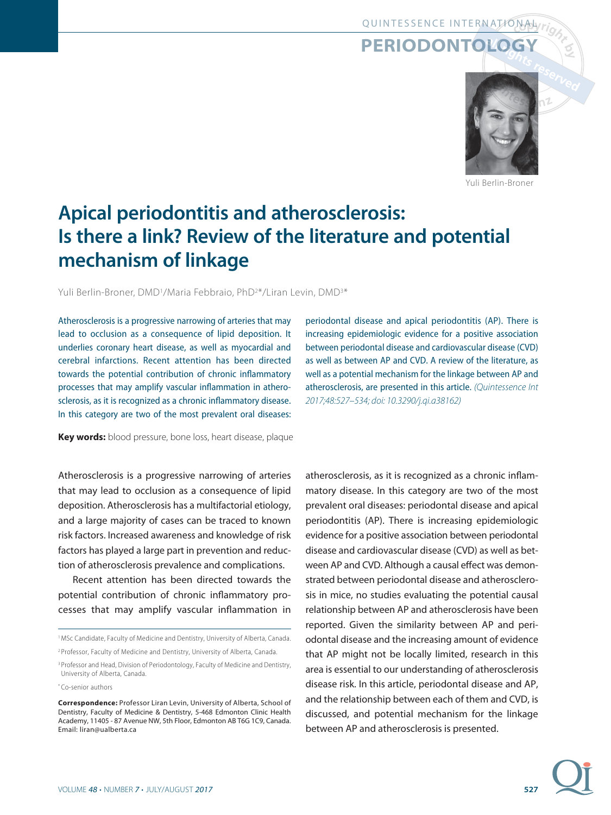## QUINTESSENCE INTERNATIONAL

## **PERIODONTOLOGY**



Yuli Berlin-Broner

# **Apical periodontitis and atherosclerosis: Is there a link? Review of the literature and potential mechanism of linkage**

Yuli Berlin-Broner, DMD<sup>1</sup>/Maria Febbraio, PhD<sup>2\*</sup>/Liran Levin, DMD<sup>3\*</sup>

Atherosclerosis is a progressive narrowing of arteries that may lead to occlusion as a consequence of lipid deposition. It underlies coronary heart disease, as well as myocardial and cerebral infarctions. Recent attention has been directed towards the potential contribution of chronic inflammatory processes that may amplify vascular inflammation in atherosclerosis, as it is recognized as a chronic inflammatory disease. In this category are two of the most prevalent oral diseases:

**Key words:** blood pressure, bone loss, heart disease, plaque

Atherosclerosis is a progressive narrowing of arteries that may lead to occlusion as a consequence of lipid deposition. Atherosclerosis has a multifactorial etiology, and a large majority of cases can be traced to known risk factors. Increased awareness and knowledge of risk factors has played a large part in prevention and reduction of atherosclerosis prevalence and complications.

Recent attention has been directed towards the potential contribution of chronic inflammatory processes that may amplify vascular inflammation in periodontal disease and apical periodontitis (AP). There is increasing epidemiologic evidence for a positive association between periodontal disease and cardiovascular disease (CVD) as well as between AP and CVD. A review of the literature, as well as a potential mechanism for the linkage between AP and atherosclerosis, are presented in this article. (Quintessence Int 2017;48:527-534; doi: 10.3290/j.qi.a38162)

atherosclerosis, as it is recognized as a chronic inflammatory disease. In this category are two of the most prevalent oral diseases: periodontal disease and apical periodontitis (AP). There is increasing epidemiologic evidence for a positive association between periodontal disease and cardiovascular disease (CVD) as well as between AP and CVD. Although a causal effect was demonstrated between periodontal disease and atherosclerosis in mice, no studies evaluating the potential causal relationship between AP and atherosclerosis have been reported. Given the similarity between AP and periodontal disease and the increasing amount of evidence that AP might not be locally limited, research in this area is essential to our understanding of atherosclerosis disease risk. In this article, periodontal disease and AP, and the relationship between each of them and CVD, is discussed, and potential mechanism for the linkage between AP and atherosclerosis is presented.

<sup>&</sup>lt;sup>1</sup> MSc Candidate, Faculty of Medicine and Dentistry, University of Alberta, Canada. 2 Professor, Faculty of Medicine and Dentistry, University of Alberta, Canada.

<sup>&</sup>lt;sup>3</sup> Professor and Head, Division of Periodontology, Faculty of Medicine and Dentistry, University of Alberta, Canada.

<sup>\*</sup> Co-senior authors

**Correspondence:** Professor Liran Levin, University of Alberta, School of Dentistry, Faculty of Medicine & Dentistry, 5-468 Edmonton Clinic Health Academy, 11405 - 87 Avenue NW, 5th Floor, Edmonton AB T6G 1C9, Canada. Email: liran@ualberta.ca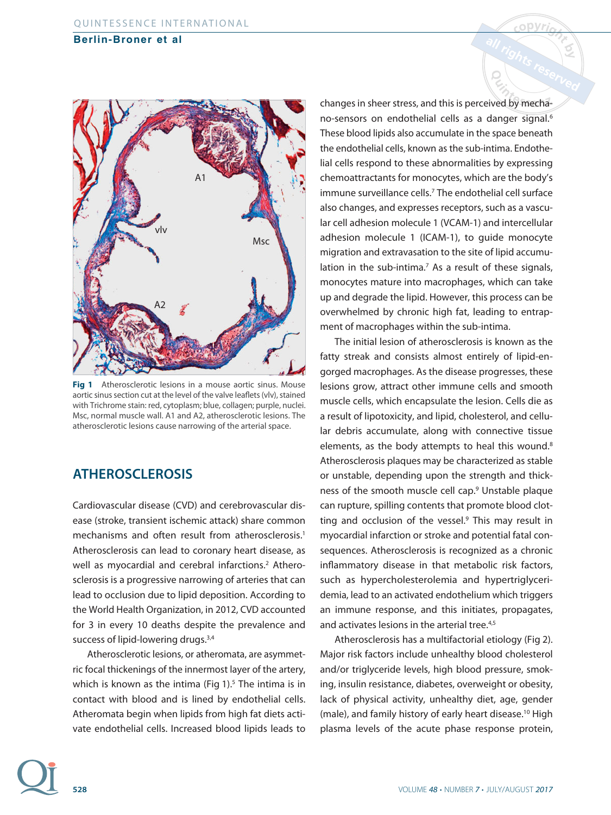

**Fig 1** Atherosclerotic lesions in a mouse aortic sinus. Mouse aortic sinus section cut at the level of the valve leaflets (vlv), stained with Trichrome stain: red, cytoplasm; blue, collagen; purple, nuclei. Msc, normal muscle wall. A1 and A2, atherosclerotic lesions. The atherosclerotic lesions cause narrowing of the arterial space.

## **ATHEROSCLEROSIS**

Cardiovascular disease (CVD) and cerebrovascular disease (stroke, transient ischemic attack) share common mechanisms and often result from atherosclerosis.<sup>1</sup> Atherosclerosis can lead to coronary heart disease, as well as myocardial and cerebral infarctions.<sup>2</sup> Atherosclerosis is a progressive narrowing of arteries that can lead to occlusion due to lipid deposition. According to the World Health Organization, in 2012, CVD accounted for 3 in every 10 deaths despite the prevalence and success of lipid-lowering drugs.<sup>3,4</sup>

Atherosclerotic lesions, or atheromata, are asymmetric focal thickenings of the innermost layer of the artery, which is known as the intima (Fig 1).<sup>5</sup> The intima is in contact with blood and is lined by endothelial cells. Atheromata begin when lipids from high fat diets activate endothelial cells. Increased blood lipids leads to changes in sheer stress, and this is perceived by mechano-sensors on endothelial cells as a danger signal.<sup>6</sup> These blood lipids also accumulate in the space beneath the endothelial cells, known as the sub-intima. Endothelial cells respond to these abnormalities by expressing chemoattractants for monocytes, which are the body's immune surveillance cells.7 The endothelial cell surface also changes, and expresses receptors, such as a vascular cell adhesion molecule 1 (VCAM-1) and intercellular adhesion molecule 1 (ICAM-1), to guide monocyte migration and extravasation to the site of lipid accumulation in the sub-intima.<sup>7</sup> As a result of these signals, monocytes mature into macrophages, which can take up and degrade the lipid. However, this process can be overwhelmed by chronic high fat, leading to entrapment of macrophages within the sub-intima.

The initial lesion of atherosclerosis is known as the fatty streak and consists almost entirely of lipid-engorged macrophages. As the disease progresses, these lesions grow, attract other immune cells and smooth muscle cells, which encapsulate the lesion. Cells die as a result of lipotoxicity, and lipid, cholesterol, and cellular debris accumulate, along with connective tissue elements, as the body attempts to heal this wound.<sup>8</sup> Atherosclerosis plaques may be characterized as stable or unstable, depending upon the strength and thickness of the smooth muscle cell cap.9 Unstable plaque can rupture, spilling contents that promote blood clotting and occlusion of the vessel.<sup>9</sup> This may result in myocardial infarction or stroke and potential fatal consequences. Atherosclerosis is recognized as a chronic inflammatory disease in that metabolic risk factors, such as hypercholesterolemia and hypertriglyceridemia, lead to an activated endothelium which triggers an immune response, and this initiates, propagates, and activates lesions in the arterial tree.<sup>4,5</sup>

Atherosclerosis has a multifactorial etiology (Fig 2). Major risk factors include unhealthy blood cholesterol and/or triglyceride levels, high blood pressure, smoking, insulin resistance, diabetes, overweight or obesity, lack of physical activity, unhealthy diet, age, gender (male), and family history of early heart disease.10 High plasma levels of the acute phase response protein,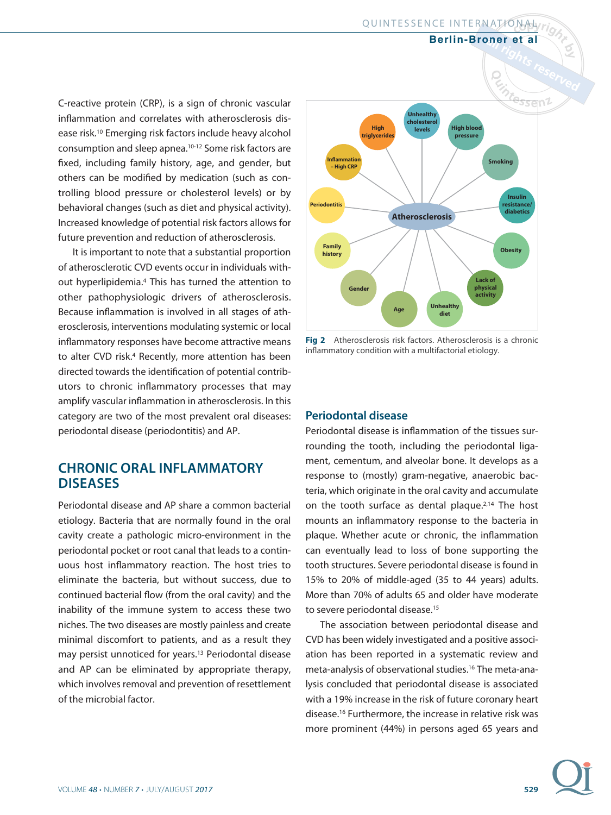QUINTESSENCE INTERNATIONAL

**Berlin-Broner et al**

C-reactive protein (CRP), is a sign of chronic vascular inflammation and correlates with atherosclerosis disease risk.10 Emerging risk factors include heavy alcohol consumption and sleep apnea.10-12 Some risk factors are fixed, including family history, age, and gender, but others can be modified by medication (such as controlling blood pressure or cholesterol levels) or by behavioral changes (such as diet and physical activity). Increased knowledge of potential risk factors allows for future prevention and reduction of atherosclerosis.

It is important to note that a substantial proportion of atherosclerotic CVD events occur in individuals without hyperlipidemia.4 This has turned the attention to other pathophysiologic drivers of atherosclerosis. Because inflammation is involved in all stages of atherosclerosis, interventions modulating systemic or local inflammatory responses have become attractive means to alter CVD risk.<sup>4</sup> Recently, more attention has been directed towards the identification of potential contributors to chronic inflammatory processes that may amplify vascular inflammation in atherosclerosis. In this category are two of the most prevalent oral diseases: periodontal disease (periodontitis) and AP.

## **CHRONIC ORAL INFLAMMATORY DISEASES**

Periodontal disease and AP share a common bacterial etiology. Bacteria that are normally found in the oral cavity create a pathologic micro-environment in the periodontal pocket or root canal that leads to a continuous host inflammatory reaction. The host tries to eliminate the bacteria, but without success, due to continued bacterial flow (from the oral cavity) and the inability of the immune system to access these two niches. The two diseases are mostly painless and create minimal discomfort to patients, and as a result they may persist unnoticed for years.13 Periodontal disease and AP can be eliminated by appropriate therapy, which involves removal and prevention of resettlement of the microbial factor.



**Fig 2** Atherosclerosis risk factors. Atherosclerosis is a chronic inflammatory condition with a multifactorial etiology.

#### **Periodontal disease**

Periodontal disease is inflammation of the tissues surrounding the tooth, including the periodontal ligament, cementum, and alveolar bone. It develops as a response to (mostly) gram-negative, anaerobic bacteria, which originate in the oral cavity and accumulate on the tooth surface as dental plaque.<sup>2,14</sup> The host mounts an inflammatory response to the bacteria in plaque. Whether acute or chronic, the inflammation can eventually lead to loss of bone supporting the tooth structures. Severe periodontal disease is found in 15% to 20% of middle-aged (35 to 44 years) adults. More than 70% of adults 65 and older have moderate to severe periodontal disease.<sup>15</sup>

The association between periodontal disease and CVD has been widely investigated and a positive association has been reported in a systematic review and meta-analysis of observational studies.16 The meta-analysis concluded that periodontal disease is associated with a 19% increase in the risk of future coronary heart disease.16 Furthermore, the increase in relative risk was more prominent (44%) in persons aged 65 years and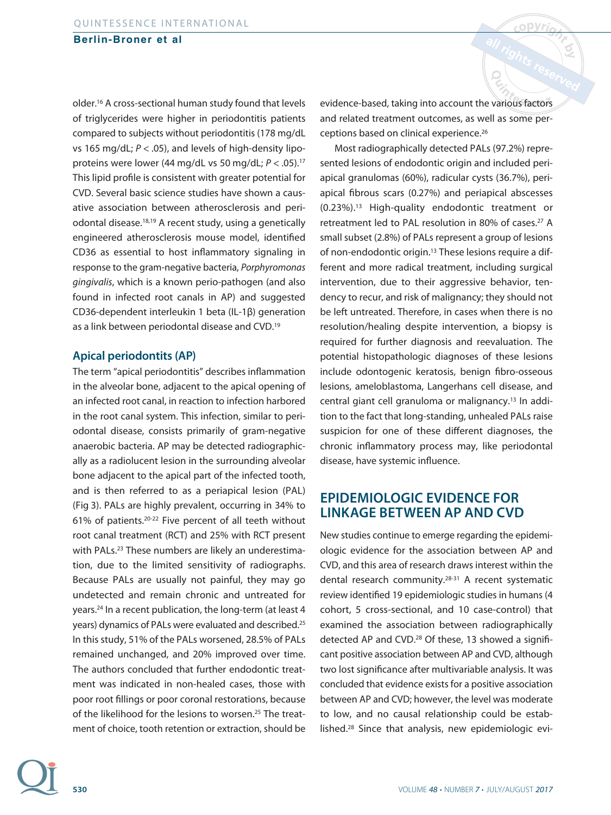older.16 A cross-sectional human study found that levels of triglycerides were higher in periodontitis patients compared to subjects without periodontitis (178 mg/dL vs 165 mg/dL;  $P < .05$ ), and levels of high-density lipoproteins were lower (44 mg/dL vs 50 mg/dL;  $P < .05$ ).<sup>17</sup> This lipid profile is consistent with greater potential for CVD. Several basic science studies have shown a causative association between atherosclerosis and periodontal disease.18,19 A recent study, using a genetically engineered atherosclerosis mouse model, identified CD36 as essential to host inflammatory signaling in response to the gram-negative bacteria, Porphyromonas gingivalis, which is a known perio-pathogen (and also found in infected root canals in AP) and suggested CD36-dependent interleukin 1 beta (IL-1β) generation as a link between periodontal disease and CVD.19

#### **Apical periodontits (AP)**

The term "apical periodontitis" describes inflammation in the alveolar bone, adjacent to the apical opening of an infected root canal, in reaction to infection harbored in the root canal system. This infection, similar to periodontal disease, consists primarily of gram-negative anaerobic bacteria. AP may be detected radiographically as a radiolucent lesion in the surrounding alveolar bone adjacent to the apical part of the infected tooth, and is then referred to as a periapical lesion (PAL) (Fig 3). PALs are highly prevalent, occurring in 34% to 61% of patients.20-22 Five percent of all teeth without root canal treatment (RCT) and 25% with RCT present with PALs.<sup>23</sup> These numbers are likely an underestimation, due to the limited sensitivity of radiographs. Because PALs are usually not painful, they may go undetected and remain chronic and untreated for years.24 In a recent publication, the long-term (at least 4 years) dynamics of PALs were evaluated and described.25 In this study, 51% of the PALs worsened, 28.5% of PALs remained unchanged, and 20% improved over time. The authors concluded that further endodontic treatment was indicated in non-healed cases, those with poor root fillings or poor coronal restorations, because of the likelihood for the lesions to worsen.<sup>25</sup> The treatment of choice, tooth retention or extraction, should be

evidence-based, taking into account the various factors and related treatment outcomes, as well as some perceptions based on clinical experience.26

Most radiographically detected PALs (97.2%) represented lesions of endodontic origin and included periapical granulomas (60%), radicular cysts (36.7%), periapical fibrous scars (0.27%) and periapical abscesses (0.23%).13 High-quality endodontic treatment or retreatment led to PAL resolution in 80% of cases.<sup>27</sup> A small subset (2.8%) of PALs represent a group of lesions of non-endodontic origin.13 These lesions require a different and more radical treatment, including surgical intervention, due to their aggressive behavior, tendency to recur, and risk of malignancy; they should not be left untreated. Therefore, in cases when there is no resolution/healing despite intervention, a biopsy is required for further diagnosis and reevaluation. The potential histopathologic diagnoses of these lesions include odontogenic keratosis, benign fibro-osseous lesions, ameloblastoma, Langerhans cell disease, and central giant cell granuloma or malignancy.13 In addition to the fact that long-standing, unhealed PALs raise suspicion for one of these different diagnoses, the chronic inflammatory process may, like periodontal disease, have systemic influence.

## **EPIDEMIOLOGIC EVIDENCE FOR LINKAGE BETWEEN AP AND CVD**

New studies continue to emerge regarding the epidemiologic evidence for the association between AP and CVD, and this area of research draws interest within the dental research community.28-31 A recent systematic review identified 19 epidemiologic studies in humans (4 cohort, 5 cross-sectional, and 10 case-control) that examined the association between radiographically detected AP and CVD.<sup>28</sup> Of these, 13 showed a significant positive association between AP and CVD, although two lost significance after multivariable analysis. It was concluded that evidence exists for a positive association between AP and CVD; however, the level was moderate to low, and no causal relationship could be established.28 Since that analysis, new epidemiologic evi-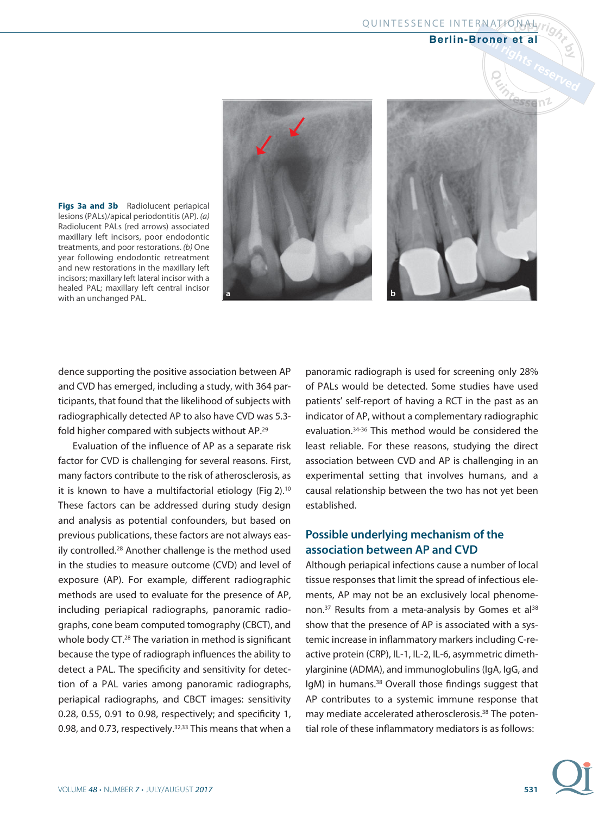**Figs 3a and 3b** Radiolucent periapical lesions (PALs)/apical periodontitis (AP). (a) Radiolucent PALs (red arrows) associated maxillary left incisors, poor endodontic treatments, and poor restorations. (b) One year following endodontic retreatment and new restorations in the maxillary left incisors; maxillary left lateral incisor with a healed PAL; maxillary left central incisor with an unchanged PAL.





dence supporting the positive association between AP and CVD has emerged, including a study, with 364 participants, that found that the likelihood of subjects with radiographically detected AP to also have CVD was 5.3 fold higher compared with subjects without AP.29

Evaluation of the influence of AP as a separate risk factor for CVD is challenging for several reasons. First, many factors contribute to the risk of atherosclerosis, as it is known to have a multifactorial etiology (Fig 2).10 These factors can be addressed during study design and analysis as potential confounders, but based on previous publications, these factors are not always easily controlled.28 Another challenge is the method used in the studies to measure outcome (CVD) and level of exposure (AP). For example, different radiographic methods are used to evaluate for the presence of AP, including periapical radiographs, panoramic radiographs, cone beam computed tomography (CBCT), and whole body CT.<sup>28</sup> The variation in method is significant because the type of radiograph influences the ability to detect a PAL. The specificity and sensitivity for detection of a PAL varies among panoramic radiographs, periapical radiographs, and CBCT images: sensitivity 0.28, 0.55, 0.91 to 0.98, respectively; and specificity 1, 0.98, and 0.73, respectively.<sup>32,33</sup> This means that when a panoramic radiograph is used for screening only 28% of PALs would be detected. Some studies have used patients' self-report of having a RCT in the past as an indicator of AP, without a complementary radiographic evaluation.34-36 This method would be considered the least reliable. For these reasons, studying the direct association between CVD and AP is challenging in an experimental setting that involves humans, and a causal relationship between the two has not yet been established.

### **Possible underlying mechanism of the association between AP and CVD**

Although periapical infections cause a number of local tissue responses that limit the spread of infectious elements, AP may not be an exclusively local phenomenon.<sup>37</sup> Results from a meta-analysis by Gomes et al<sup>38</sup> show that the presence of AP is associated with a systemic increase in inflammatory markers including C-reactive protein (CRP), IL-1, IL-2, IL-6, asymmetric dimethylarginine (ADMA), and immunoglobulins (IgA, IgG, and IgM) in humans.<sup>38</sup> Overall those findings suggest that AP contributes to a systemic immune response that may mediate accelerated atherosclerosis.38 The potential role of these inflammatory mediators is as follows:

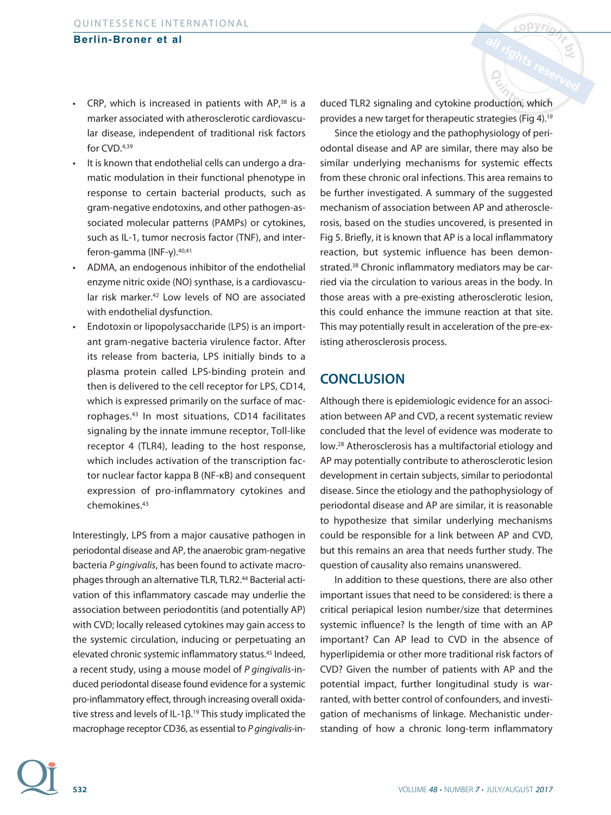- CRP, which is increased in patients with AP,38 is a marker associated with atherosclerotic cardiovascular disease, independent of traditional risk factors for CVD.4,39
- It is known that endothelial cells can undergo a dramatic modulation in their functional phenotype in response to certain bacterial products, such as gram-negative endotoxins, and other pathogen-associated molecular patterns (PAMPs) or cytokines, such as IL-1, tumor necrosis factor (TNF), and interferon-gamma (INF-γ).40,41
- ADMA, an endogenous inhibitor of the endothelial enzyme nitric oxide (NO) synthase, is a cardiovascular risk marker.<sup>42</sup> Low levels of NO are associated with endothelial dysfunction.
- Endotoxin or lipopolysaccharide (LPS) is an important gram-negative bacteria virulence factor. After its release from bacteria, LPS initially binds to a plasma protein called LPS-binding protein and then is delivered to the cell receptor for LPS, CD14, which is expressed primarily on the surface of macrophages.43 In most situations, CD14 facilitates signaling by the innate immune receptor, Toll-like receptor 4 (TLR4), leading to the host response, which includes activation of the transcription factor nuclear factor kappa B (NF-κB) and consequent expression of pro-inflammatory cytokines and chemokines.43

Interestingly, LPS from a major causative pathogen in periodontal disease and AP, the anaerobic gram-negative bacteria P gingivalis, has been found to activate macrophages through an alternative TLR, TLR2.44 Bacterial activation of this inflammatory cascade may underlie the association between periodontitis (and potentially AP) with CVD; locally released cytokines may gain access to the systemic circulation, inducing or perpetuating an elevated chronic systemic inflammatory status.<sup>45</sup> Indeed, a recent study, using a mouse model of P gingivalis-induced periodontal disease found evidence for a systemic pro-inflammatory effect, through increasing overall oxidative stress and levels of IL-1β.<sup>19</sup> This study implicated the macrophage receptor CD36, as essential to P gingivalis-induced TLR2 signaling and cytokine production, which provides a new target for therapeutic strategies (Fig 4).19

Since the etiology and the pathophysiology of periodontal disease and AP are similar, there may also be similar underlying mechanisms for systemic effects from these chronic oral infections. This area remains to be further investigated. A summary of the suggested mechanism of association between AP and atherosclerosis, based on the studies uncovered, is presented in Fig 5. Briefly, it is known that AP is a local inflammatory reaction, but systemic influence has been demonstrated.38 Chronic inflammatory mediators may be carried via the circulation to various areas in the body. In those areas with a pre-existing atherosclerotic lesion, this could enhance the immune reaction at that site. This may potentially result in acceleration of the pre-existing atherosclerosis process.

## **CONCLUSION**

Although there is epidemiologic evidence for an association between AP and CVD, a recent systematic review concluded that the level of evidence was moderate to low.28 Atherosclerosis has a multifactorial etiology and AP may potentially contribute to atherosclerotic lesion development in certain subjects, similar to periodontal disease. Since the etiology and the pathophysiology of periodontal disease and AP are similar, it is reasonable to hypothesize that similar underlying mechanisms could be responsible for a link between AP and CVD, but this remains an area that needs further study. The question of causality also remains unanswered.

In addition to these questions, there are also other important issues that need to be considered: is there a critical periapical lesion number/size that determines systemic influence? Is the length of time with an AP important? Can AP lead to CVD in the absence of hyperlipidemia or other more traditional risk factors of CVD? Given the number of patients with AP and the potential impact, further longitudinal study is warranted, with better control of confounders, and investigation of mechanisms of linkage. Mechanistic understanding of how a chronic long-term inflammatory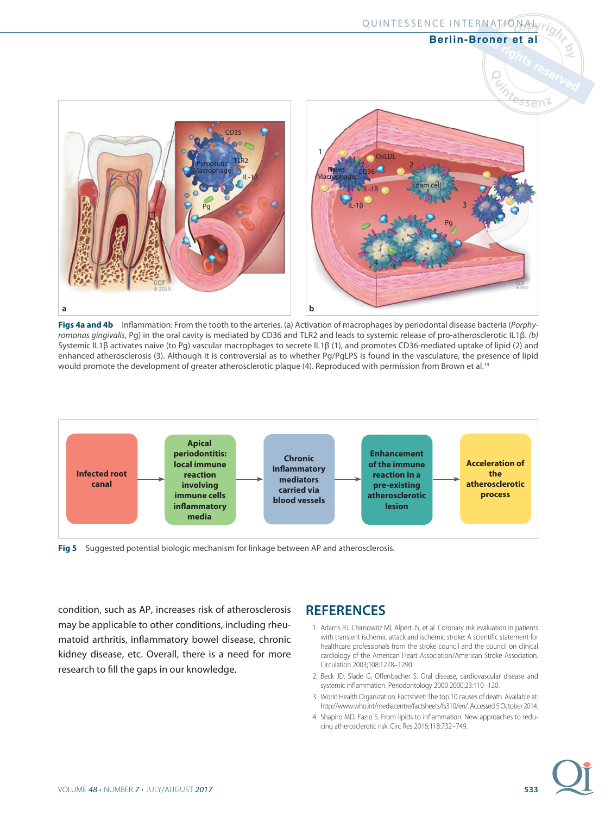

**Figs 4a and 4b** Inflammation: From the tooth to the arteries. (a) Activation of macrophages by periodontal disease bacteria (Porphyromonas gingivalis, Pg) in the oral cavity is mediated by CD36 and TLR2 and leads to systemic release of pro-atherosclerotic IL1β. (b) Systemic IL1β activates naive (to Pg) vascular macrophages to secrete IL1β (1), and promotes CD36-mediated uptake of lipid (2) and enhanced atherosclerosis (3). Although it is controversial as to whether Pg/PgLPS is found in the vasculature, the presence of lipid would promote the development of greater atherosclerotic plaque (4). Reproduced with permission from Brown et al.<sup>19</sup>



**Fig 5** Suggested potential biologic mechanism for linkage between AP and atherosclerosis.

condition, such as AP, increases risk of atherosclerosis may be applicable to other conditions, including rheumatoid arthritis, inflammatory bowel disease, chronic kidney disease, etc. Overall, there is a need for more research to fill the gaps in our knowledge.

### **REFERENCES**

 1. Adams RJ, Chimowitz MI, Alpert JS, et al. Coronary risk evaluation in patients with transient ischemic attack and ischemic stroke: A scientific statement for healthcare professionals from the stroke council and the council on clinical cardiology of the American Heart Association/American Stroke Association. Circulation 2003;108: 1278–1290.

QUINTESSENCE INTERNATIONAL

**Berlin-Broner et al**

- 2. Beck JD, Slade G, Offenbacher S. Oral disease, cardiovascular disease and systemic inflammation. Periodontology 2000 2000;23: 110–120.
- 3. World Health Organization. Factsheet: The top 10 causes of death. Available at: http://www.who.int/mediacentre/factsheets/fs310/en/. Accessed 5 October 2014.
- 4. Shapiro MD, Fazio S. From lipids to inflammation: New approaches to reducing atherosclerotic risk. Circ Res 2016;118:732-749.